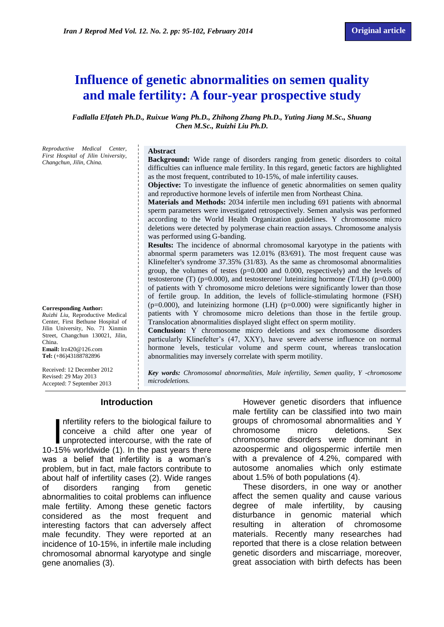# **Influence of genetic abnormalities on semen quality and male fertility: A four-year prospective study**

*Fadlalla Elfateh Ph.D., Ruixue Wang Ph.D., Zhihong Zhang Ph.D., Yuting Jiang M.Sc., Shuang Chen M.Sc., Ruizhi Liu Ph.D.*

*Reproductive Medical Center, First Hospital of Jilin University, Changchun, Jilin, China.* 

#### **Abstract**

**Background:** Wide range of disorders ranging from genetic disorders to coital difficulties can influence male fertility. In this regard, genetic factors are highlighted as the most frequent, contributed to 10-15%, of male infertility causes.

**Objective:** To investigate the influence of genetic abnormalities on semen quality and reproductive hormone levels of infertile men from Northeast China.

**Materials and Methods:** 2034 infertile men including 691 patients with abnormal sperm parameters were investigated retrospectively. Semen analysis was performed according to the World Health Organization guidelines. Y chromosome micro deletions were detected by polymerase chain reaction assays. Chromosome analysis was performed using G-banding.

**Results:** The incidence of abnormal chromosomal karyotype in the patients with abnormal sperm parameters was 12.01% (83/691). The most frequent cause was Klinefelter's syndrome 37.35% (31/83). As the same as chromosomal abnormalities group, the volumes of testes  $(p=0.000$  and 0.000, respectively) and the levels of testosterone (T) ( $p=0.000$ ), and testosterone/ luteinizing hormone (T/LH) ( $p=0.000$ ) of patients with Y chromosome micro deletions were significantly lower than those of fertile group. In addition, the levels of follicle-stimulating hormone (FSH) (p=0.000), and luteinizing hormone (LH) (p=0.000) were significantly higher in patients with Y chromosome micro deletions than those in the fertile group. Translocation abnormalities displayed slight effect on sperm motility.

**Conclusion:** Y chromosome micro deletions and sex chromosome disorders particularly Klinefelter's (47, XXY), have severe adverse influence on normal hormone levels, testicular volume and sperm count, whereas translocation abnormalities may inversely correlate with sperm motility.

Received: 12 December 2012 Revised: 29 May 2013 Accepted: 7 September 2013

**Corresponding Author:** *Ruizhi Liu,* Reproductive Medical Center, First Bethune Hospital of Jilin University, No. 71 Xinmin Street, Changchun 130021, Jilin,

**Email:** [lrz420@126.com](mailto:lrz420@126.com) **Tel:** (+86)43188782896

China.

*Key words: Chromosomal abnormalities, Male infertility, Semen quality, Y -chromosome microdeletions.*

### **Introduction**

nfertility refers to the biological failure to conceive a child after one year of nfertility refers to the biological failure to<br>conceive a child after one year of<br>unprotected intercourse, with the rate of<br>15% worldwide (1) In the past years there 10-15% worldwide (1). In the past years there was a belief that infertility is a woman's problem, but in fact, male factors contribute to about half of infertility cases (2). Wide ranges of disorders ranging from genetic abnormalities to coital problems can influence male fertility. Among these genetic factors considered as the most frequent and interesting factors that can adversely affect male fecundity. They were reported at an incidence of 10-15%, in infertile male including chromosomal abnormal karyotype and single gene anomalies (3).

However genetic disorders that influence male fertility can be classified into two main groups of chromosomal abnormalities and Y chromosome micro deletions. Sex chromosome disorders were dominant in azoospermic and oligospermic infertile men with a prevalence of 4.2%, compared with autosome anomalies which only estimate about 1.5% of both populations (4).

These disorders, in one way or another affect the semen quality and cause various degree of male infertility, by causing disturbance in genomic material which resulting in alteration of chromosome materials. Recently many researches had reported that there is a close relation between genetic disorders and miscarriage, moreover, great association with birth defects has been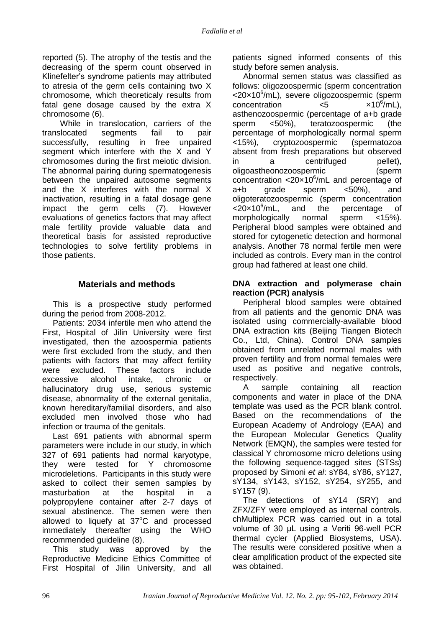reported (5). The atrophy of the testis and the decreasing of the sperm count observed in Klinefelter's syndrome patients may attributed to atresia of the germ cells containing two X chromosome, which theoreticaly results from fatal gene dosage caused by the extra X chromosome (6).

While in translocation, carriers of the translocated segments fail to pair successfully, resulting in free unpaired segment which interfere with the X and Y chromosomes during the first meiotic division. The abnormal pairing during spermatogenesis between the unpaired autosome segments and the X interferes with the normal X inactivation, resulting in a fatal dosage gene impact the germ cells (7). However evaluations of genetics factors that may affect male fertility provide valuable data and theoretical basis for assisted reproductive technologies to solve fertility problems in those patients.

## **Materials and methods**

This is a prospective study performed during the period from 2008-2012.

Patients: 2034 infertile men who attend the First, Hospital of Jilin University were first investigated, then the azoospermia patients were first excluded from the study, and then patients with factors that may affect fertility were excluded. These factors include excessive alcohol intake, chronic or hallucinatory drug use, serious systemic disease, abnormality of the external genitalia, known hereditary/familial disorders, and also excluded men involved those who had infection or trauma of the genitals.

Last 691 patients with abnormal sperm parameters were include in our study, in which 327 of 691 patients had normal karyotype, they were tested for Y chromosome microdeletions. Participants in this study were asked to collect their semen samples by masturbation at the hospital in a polypropylene container after 2-7 days of sexual abstinence. The semen were then allowed to liquefy at 37°C and processed immediately thereafter using the WHO recommended guideline (8).

This study was approved by the Reproductive Medicine Ethics Committee of First Hospital of Jilin University, and all patients signed informed consents of this study before semen analysis.

Abnormal semen status was classified as follows: oligozoospermic (sperm concentration <20×10<sup>6</sup>/mL), severe oligozoospermic (sperm  $concentration$   $<5$  $\times$ 10<sup>6</sup>/mL), asthenozoospermic (percentage of a+b grade sperm <50%), teratozoospermic (the percentage of morphologically normal sperm <15%), cryptozoospermic (spermatozoa absent from fresh preparations but observed in a centrifuged pellet), oligoastheonozoospermic (sperm concentration < $20 \times 10^6$ /mL and percentage of a+b grade sperm <50%), and oligoteratozoospermic (sperm concentration  $<$ 20 $\times$ 10 $^6$ /mL, and the percentage of morphologically normal sperm <15%). Peripheral blood samples were obtained and stored for cytogenetic detection and hormonal analysis. Another 78 normal fertile men were included as controls. Every man in the control group had fathered at least one child.

### **DNA extraction and polymerase chain reaction (PCR) analysis**

Peripheral blood samples were obtained from all patients and the genomic DNA was isolated using commercially-available blood DNA extraction kits (Beijing Tiangen Biotech Co., Ltd, China). Control DNA samples obtained from unrelated normal males with proven fertility and from normal females were used as positive and negative controls, respectively.

A sample containing all reaction components and water in place of the DNA template was used as the PCR blank control. Based on the recommendations of the European Academy of Andrology (EAA) and the European Molecular Genetics Quality Network (EMQN), the samples were tested for classical Y chromosome micro deletions using the following sequence-tagged sites (STSs) proposed by Simoni *et al*: sY84, sY86, sY127, sY134, sY143, sY152, sY254, sY255, and sY157 (9).

The detections of sY14 (SRY) and ZFX/ZFY were employed as internal controls. chMultiplex PCR was carried out in a total volume of 30 μL using a Veriti 96-well PCR thermal cycler (Applied Biosystems, USA). The results were considered positive when a clear amplification product of the expected site was obtained.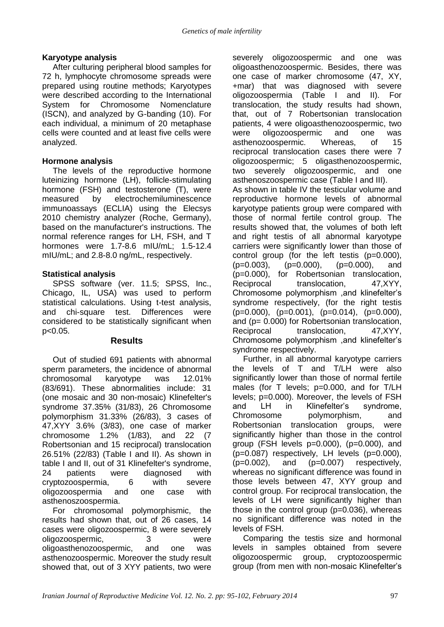### **Karyotype analysis**

After culturing peripheral blood samples for 72 h, lymphocyte chromosome spreads were prepared using routine methods; Karyotypes were described according to the International System for Chromosome Nomenclature (ISCN), and analyzed by G-banding (10). For each individual, a minimum of 20 metaphase cells were counted and at least five cells were analyzed.

## **Hormone analysis**

The levels of the reproductive hormone luteinizing hormone (LH), follicle-stimulating hormone (FSH) and testosterone (T), were measured by electrochemiluminescence immunoassays (ECLIA) using the Elecsys 2010 chemistry analyzer (Roche, Germany), based on the manufacturer's instructions. The normal reference ranges for LH, FSH, and T hormones were 1.7-8.6 mIU/mL; 1.5-12.4 mIU/mL; and 2.8-8.0 ng/mL, respectively.

# **Statistical analysis**

SPSS software (ver. 11.5; SPSS, Inc., Chicago, IL, USA) was used to perform statistical calculations. Using t-test analysis, and chi-square test. Differences were considered to be statistically significant when p<0.05.

#### **Results**

Out of studied 691 patients with abnormal sperm parameters, the incidence of abnormal chromosomal karyotype was 12.01% (83/691). These abnormalities include: 31 (one mosaic and 30 non-mosaic) Klinefelter's syndrome 37.35% (31/83), 26 Chromosome polymorphism 31.33% (26/83), 3 cases of 47,XYY 3.6% (3/83), one case of marker chromosome 1.2% (1/83), and 22 (7 Robertsonian and 15 reciprocal) translocation 26.51% (22/83) (Table I and II). As shown in table I and II, out of 31 Klinefelter's syndrome, 24 patients were diagnosed with cryptozoospermia, 6 with severe oligozoospermia and one case with asthenoszoospermia.

For chromosomal polymorphismic, the results had shown that, out of 26 cases, 14 cases were oligozoospermic, 8 were severely oligozoospermic, 3 were oligoasthenozoospermic, and one was asthenozoospermic. Moreover the study result showed that, out of 3 XYY patients, two were severely oligozoospermic and one was oligoasthenozoospermic. Besides, there was one case of marker chromosome (47, XY, +mar) that was diagnosed with severe oligozoospermia (Table I and II). For translocation, the study results had shown, that, out of 7 Robertsonian translocation patients, 4 were oligoasthenozoospermic, two were oligozoospermic and one was asthenozoospermic. Whereas, of 15 reciprocal translocation cases there were 7 oligozoospermic; 5 oligasthenozoospermic, two severely oligozoospermic, and one asthenoszoospermic case (Table I and III). As shown in table IV the testicular volume and reproductive hormone levels of abnormal karyotype patients group were compared with those of normal fertile control group. The results showed that, the volumes of both left and right testis of all abnormal karyotype carriers were significantly lower than those of control group (for the left testis (p=0.000), (p=0.003), (p=0.000), (p=0.000), and (p=0.000), for Robertsonian translocation, Reciprocal translocation, 47, XYY, Chromosome polymorphism ,and klinefelter's syndrome respectively, (for the right testis  $(p=0.000)$ ,  $(p=0.001)$ ,  $(p=0.014)$ ,  $(p=0.000)$ , and (p= 0.000) for Robertsonian translocation, Reciprocal translocation, 47, XYY, Chromosome polymorphism ,and klinefelter's syndrome respectively.

Further, in all abnormal karyotype carriers the levels of T and T/LH were also significantly lower than those of normal fertile males (for T levels; p=0.000, and for T/LH levels; p=0.000). Moreover, the levels of FSH and LH in Klinefelter's syndrome, Chromosome polymorphism, and Robertsonian translocation groups, were significantly higher than those in the control group (FSH levels p=0.000), (p=0.000), and  $(p=0.087)$  respectively. LH levels  $(p=0.000)$ .  $(p=0.002)$ , and  $(p=0.007)$  respectively, whereas no significant difference was found in those levels between 47, XYY group and control group. For reciprocal translocation, the levels of LH were significantly higher than those in the control group  $(p=0.036)$ , whereas no significant difference was noted in the levels of FSH.

Comparing the testis size and hormonal levels in samples obtained from severe oligozoospermic group, cryptozoospermic group (from men with non-mosaic Klinefelter's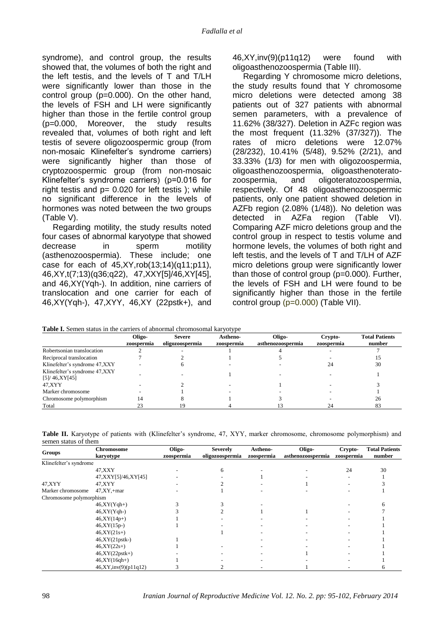syndrome), and control group, the results showed that, the volumes of both the right and the left testis, and the levels of T and T/LH were significantly lower than those in the control group (p=0.000). On the other hand, the levels of FSH and LH were significantly higher than those in the fertile control group (p=0.000, Moreover, the study results revealed that, volumes of both right and left testis of severe oligozoospermic group (from non-mosaic Klinefelter's syndrome carriers) were significantly higher than those of cryptozoospermic group (from non-mosaic Klinefelter's syndrome carriers) (p=0.016 for right testis and  $p = 0.020$  for left testis ); while no significant difference in the levels of hormones was noted between the two groups (Table V).

Regarding motility, the study results noted four cases of abnormal karyotype that showed decrease in sperm motility (asthenozoospermia). These include; one case for each of  $45, XY, rob(13;14)(q11;p11),$ 46,XY,t(7;13)(q36;q22), 47,XXY[5]/46,XY[45], and 46,XY(Yqh-). In addition, nine carriers of translocation and one carrier for each of 46,XY(Yqh-), 47,XYY, 46,XY (22pstk+), and 46,XY,inv(9)(p11q12) were found with oligoasthenozoospermia (Table III).

Regarding Y chromosome micro deletions, the study results found that Y chromosome micro deletions were detected among 38 patients out of 327 patients with abnormal semen parameters, with a prevalence of 11.62% (38/327). Deletion in AZFc region was the most frequent (11.32% (37/327)). The rates of micro deletions were 12.07% (28/232), 10.41% (5/48), 9.52% (2/21), and 33.33% (1/3) for men with oligozoospermia, oligoasthenozoospermia, oligoasthenoteratozoospermia, and oligoteratozoospermia, respectively. Of 48 oligoasthenozoospermic patients, only one patient showed deletion in AZFb region (2.08% (1/48)). No deletion was detected in AZFa region (Table VI). Comparing AZF micro deletions group and the control group in respect to testis volume and hormone levels, the volumes of both right and left testis, and the levels of T and T/LH of AZF micro deletions group were significantly lower than those of control group  $(p=0.000)$ . Further, the levels of FSH and LH were found to be significantly higher than those in the fertile control group (p=0.000) (Table VII).

|                                                  | Oligo-<br>zoospermia | <b>Severe</b><br>oligozoospermia | Astheno-<br>zoospermia | Oligo-<br>asthenozoospermia | Crypto-<br>zoospermia | <b>Total Patients</b><br>number |
|--------------------------------------------------|----------------------|----------------------------------|------------------------|-----------------------------|-----------------------|---------------------------------|
| Robertsonian translocation                       |                      |                                  |                        |                             |                       |                                 |
| Reciprocal translocation                         |                      |                                  |                        |                             |                       |                                 |
| Klinefelter's syndrome 47, XXY                   |                      |                                  |                        |                             |                       | 30                              |
| Klinefelter's syndrome 47, XXY<br>[5]/46, XY[45] |                      |                                  |                        |                             |                       |                                 |
| 47.XYY                                           |                      |                                  |                        |                             |                       |                                 |
| Marker chromosome                                |                      |                                  |                        |                             |                       |                                 |
| Chromosome polymorphism                          | 14                   |                                  |                        |                             |                       | 26                              |
| Total                                            | 23                   |                                  |                        |                             | 24                    | 83                              |

|  |  | Table I. Semen status in the carriers of abnormal chromosomal karyotype |  |
|--|--|-------------------------------------------------------------------------|--|
|  |  |                                                                         |  |

**Table II.** Karyotype of patients with (Klinefelter's syndrome, 47, XYY, marker chromosome, chromosome polymorphism) and semen status of them

| Groups                  | <b>Chromosome</b><br>karyotype | Oligo-<br>zoospermia | <b>Severely</b><br>oligozoospermia | Astheno-<br>zoospermia | Oligo-<br>asthenozoospermia | Crypto-<br>zoospermia | <b>Total Patients</b><br>number |
|-------------------------|--------------------------------|----------------------|------------------------------------|------------------------|-----------------------------|-----------------------|---------------------------------|
| Klinefelter's syndrome  |                                |                      |                                    |                        |                             |                       |                                 |
|                         | 47, XXY                        |                      | 6                                  |                        |                             | 24                    | 30                              |
|                         | 47, XXY [5] / 46, XY [45]      |                      |                                    |                        |                             |                       |                                 |
| 47, XYY                 | 47, XYY                        |                      |                                    |                        |                             |                       |                                 |
| Marker chromosome       | $47, XY, +mar$                 |                      |                                    |                        |                             |                       |                                 |
| Chromosome polymorphism |                                |                      |                                    |                        |                             |                       |                                 |
|                         | $46, XY(Yqh+)$                 |                      |                                    |                        |                             |                       | h                               |
|                         | $46, XY(Yqh-)$                 |                      |                                    |                        |                             |                       |                                 |
|                         | 46,XY(14p+)                    |                      |                                    |                        |                             |                       |                                 |
|                         | $46, XY(15p-)$                 |                      |                                    |                        |                             |                       |                                 |
|                         | $46, XY(21s+)$                 |                      |                                    |                        |                             |                       |                                 |
|                         | 46,XY(21pstk-)                 |                      |                                    |                        |                             |                       |                                 |
|                         | $46, XY(22s+)$                 |                      |                                    |                        |                             |                       |                                 |
|                         | $46, XY(22pstk+)$              |                      |                                    |                        |                             |                       |                                 |
|                         | $46, XY(16qh+)$                |                      |                                    |                        |                             |                       |                                 |
|                         | 46,XY,inv(9)(p11q12)           |                      |                                    |                        |                             |                       | n                               |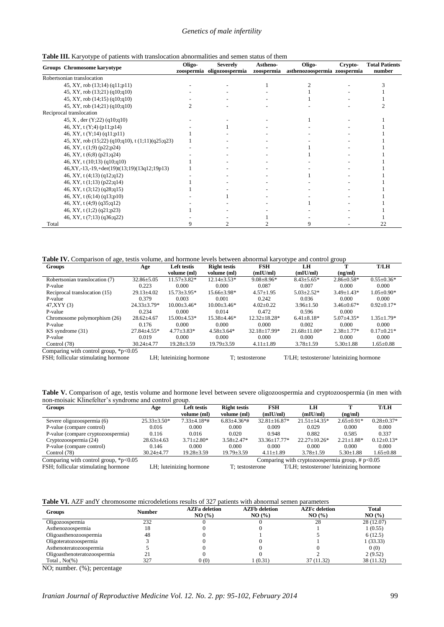#### *Genetics of male infertility*

|  |  |  |  |  | Table III. Karyotype of patients with translocation abnormalities and semen status of them |
|--|--|--|--|--|--------------------------------------------------------------------------------------------|
|--|--|--|--|--|--------------------------------------------------------------------------------------------|

| $\frac{1}{2}$                                    | Oligo- | <b>Severely</b>            | Astheno-   | Oligo-                       | Crypto- | <b>Total Patients</b> |
|--------------------------------------------------|--------|----------------------------|------------|------------------------------|---------|-----------------------|
| Groups Chromosome karyotype                      |        | zoospermia oligozoospermia | zoospermia | asthenozoospermia zoospermia |         | number                |
| Robertsonian translocation                       |        |                            |            |                              |         |                       |
| 45, XY, rob (13;14) (q11;p11)                    |        |                            |            |                              |         |                       |
| 45, XY, rob (13;21) (q10;q10)                    |        |                            |            |                              |         |                       |
| 45, XY, rob (14;15) (q10;q10)                    |        |                            |            |                              |         |                       |
| 45, XY, rob (14;21) (q10;q10)                    |        |                            |            |                              |         |                       |
| Reciprocal translocation                         |        |                            |            |                              |         |                       |
| 45, X, der (Y;22) (q10;q10)                      |        |                            |            |                              |         |                       |
| 46, XY, t (Y;4) (p11;p14)                        |        |                            |            |                              |         |                       |
| 46, XY, t $(Y;14)$ $(q11;p11)$                   |        |                            |            |                              |         |                       |
| 45, XY, rob (15;22) (q10;q10), t (1;11)(q25;q23) |        |                            |            |                              |         |                       |
| 46, XY, t (1;9) (p22;p24)                        |        |                            |            |                              |         |                       |
| 46, XY, t (6;8) (p21;q24)                        |        |                            |            |                              |         |                       |
| 46, XY, t $(10;13)$ $(q10;q10)$                  |        |                            |            |                              |         |                       |
| 46,XY,-13,-19,+der(19)t(13;19)(13q12;19p13)      |        |                            |            |                              |         |                       |
| 46, XY, t (4;13) (q12;q12)                       |        |                            |            |                              |         |                       |
| 46, XY, t (1;13) (p22;q14)                       |        |                            |            |                              |         |                       |
| 46, XY, t (3;12) (q28;q15)                       |        |                            |            |                              |         |                       |
| 46, XY, t (6;14) (q13;p10)                       |        |                            |            |                              |         |                       |
| 46, XY, t (4;9) (q35;q12)                        |        |                            |            |                              |         |                       |
| 46, XY, t (1;2) (q21;p23)                        |        |                            |            |                              |         |                       |
| 46, XY, t (7;13) (q36;q22)                       |        |                            |            |                              |         |                       |
| Total                                            |        |                            |            | 9                            |         | 22                    |

**Table IV.** Comparison of age, testis volume, and hormone levels between abnormal karyotype and control group

| Groups                                 | Age               | <b>Left testis</b> | <b>Right testis</b> | <b>FSH</b>         | LH               |                   | <b>T/LH</b>      |
|----------------------------------------|-------------------|--------------------|---------------------|--------------------|------------------|-------------------|------------------|
|                                        |                   | volume (ml)        | volume (ml)         | (mIU/ml)           | (mIU/ml)         | (ng/ml)           |                  |
| Robertsonian translocation (7)         | $32.86 \pm 5.05$  | $11.57 \pm 3.82*$  | $12.14 \pm 3.53*$   | $9.08 \pm 8.96*$   | $8.43 \pm 5.65*$ | $2.86 \pm 0.58^*$ | $0.55 \pm 0.36*$ |
| P-value                                | 0.223             | 0.000              | 0.000               | 0.087              | 0.007            | 0.000             | 0.000            |
| Reciprocal translocation (15)          | $29.13 + 4.02$    | $15.73 + 3.95*$    | $15.66 + 3.98*$     | $4.57+1.95$        | $5.03 + 2.52*$   | $3.49 + 1.43*$    | $1.05+0.90*$     |
| P-value                                | 0.379             | 0.003              | 0.001               | 0.242              | 0.036            | 0.000             | 0.000            |
| 47, XYY (3)                            | $24.33 \pm 3.79*$ | $10.00 + 3.46*$    | $10.00 + 3.46*$     | $4.02 \pm 0.22$    | $3.96 \pm 1.50$  | $3.46 + 0.67*$    | $0.92 \pm 0.17*$ |
| P-value                                | 0.234             | 0.000              | 0.014               | 0.472              | 0.596            | 0.000             |                  |
| Chromosome polymorphism (26)           | $28.62 + 4.67$    | $15.00 + 4.53*$    | $15.38 + 4.46*$     | $12.32 + 18.28*$   | $6.41 + 8.18*$   | $5.07 + 4.35*$    | $1.35 + 1.79*$   |
| P-value                                | 0.176             | 0.000              | 0.000               | 0.000              | 0.002            | 0.000             | 0.000            |
| KS syndrome (31)                       | $27.84 + 4.55*$   | $4.77 \pm 3.83*$   | $4.58 + 3.64*$      | $32.18 \pm 17.99*$ | $21.68 + 11.00*$ | $2.38 \pm 1.77*$  | $0.17+0.21*$     |
| P-value                                | 0.019             | 0.000              | 0.000               | 0.000              | 0.000            | 0.000             | 0.000            |
| Control (78)                           | $30.24 + 4.77$    | $19.28 \pm 3.59$   | $19.79 \pm 3.59$    | $4.11 \pm 1.89$    | $3.78 \pm 1.59$  | $5.30 \pm 1.88$   | $1.65 \pm 0.88$  |
| Comparing with control group $*n<0.05$ |                   |                    |                     |                    |                  |                   |                  |

ESH; follicular stimulating hormone LH; luteinizing hormone T; testosterone T/LH; testosterone/ luteinizing hormone

Table V. Comparison of age, testis volume and hormone level between severe oligozoospermia and cryptozoospermia (in men with non-moisaic Klinefelter's syndrome and control group.

| <b>Groups</b>                                   | Age               | <b>Left testis</b>      | <b>Right testis</b> | FSH                 | LH                                                 |                  | <b>T/LH</b>      |
|-------------------------------------------------|-------------------|-------------------------|---------------------|---------------------|----------------------------------------------------|------------------|------------------|
|                                                 |                   | volume (ml)             | volume (ml)         | (mIU/ml)            | (mIU/ml)                                           | (ng/ml)          |                  |
| Severe oligozoospermia (6)                      | $25.33 \pm 3.50*$ | $7.33 + 4.18**$         | $6.83{\pm}4.36*$ #  | $32.81 \pm 16.87*$  | $21.51 + 14.35*$                                   | $2.65+0.91*$     | $0.28 \pm 0.37*$ |
| P-value (compare control)                       | 0.016             | 0.000                   | 0.000               | 0.009               | 0.029                                              | 0.000            | 0.000            |
| P-value (compare cryptozoospermia)              | 0.116             | 0.016                   | 0.020               | 0.948               | 0.882                                              | 0.585            | 0.337            |
| Cryptozoospermia (24)                           | $28.63 \pm 4.63$  | $3.71 \pm 2.80^*$       | $3.58 \pm 2.47*$    | $33.36 \pm 17.77$ * | $22.27 \pm 10.26*$                                 | $2.21 \pm 1.88*$ | $0.12 \pm 0.13*$ |
| P-value (compare control)                       | 0.146             | 0.000                   | 0.000               | 0.000               | 0.000                                              | 0.000            | 0.000            |
| Control (78)                                    | $30.24 + 4.77$    | $19.28 \pm 3.59$        | $19.79 \pm 3.59$    | $4.11 \pm 1.89$     | $3.78 \pm 1.59$                                    | $5.30 \pm 1.88$  | $1.65 \pm 0.88$  |
| Comparing with control group, $\text{*p}$ <0.05 |                   |                         |                     |                     | Comparing with cryptozoospermia group, $\# p<0.05$ |                  |                  |
| FSH; follicular stimulating hormone             |                   | LH; luteinizing hormone | T: testosterone     |                     | T/LH; testosterone/ luteinizing hormone            |                  |                  |

| <b>Table VI.</b> AZF and Y chromosome microdeletions results of 327 patients with abnormal semen parameters |  |
|-------------------------------------------------------------------------------------------------------------|--|
|-------------------------------------------------------------------------------------------------------------|--|

| <b>Groups</b>                | <b>Number</b> | <b>AZFa deletion</b><br>NO(%) | <b>AZFb</b> deletion<br>NO(%) | <b>AZFc</b> deletion<br>NO(%) | <b>Total</b><br>NO(%) |
|------------------------------|---------------|-------------------------------|-------------------------------|-------------------------------|-----------------------|
| Oligozoospermia              | 232           |                               |                               | 28                            | 28 (12.07)            |
| Asthenozoospermia            | 18            |                               |                               |                               | 1(0.55)               |
| Oligoasthenozoospermia       | 48            |                               |                               |                               | 6(12.5)               |
| Oligoteratozoospermia        |               |                               |                               |                               | 1(33.33)              |
| Asthenoteratozoospermia      |               |                               |                               |                               | 0(0)                  |
| Oligoasthenoteratozoospermia |               |                               |                               |                               | 2(9.52)               |
| Total $. No(% )$             | 327           | 0(0)                          | 1 (0.31)                      | 37 (11.32)                    | 38 (11.32)            |

NO; number. (%); percentage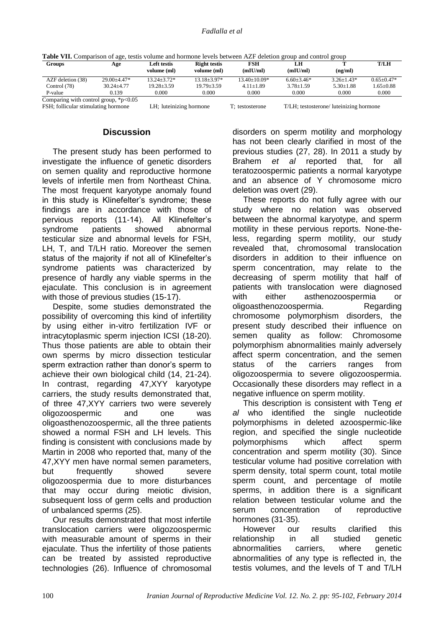|  | Table VII. Comparison of age, testis volume and hormone levels between AZF deletion group and control group |  |  |
|--|-------------------------------------------------------------------------------------------------------------|--|--|
|  |                                                                                                             |  |  |

| Groups                                   | Age             | Left testis     | <b>Right testis</b> | FSH            | LH             |                  | <b>T/LH</b>    |
|------------------------------------------|-----------------|-----------------|---------------------|----------------|----------------|------------------|----------------|
|                                          |                 | volume (ml)     | volume (ml)         | (mIU/ml)       | (mIU/ml)       | (ng/ml)          |                |
| AZF deletion (38)                        | $29.00 + 4.47*$ | $13.24 + 3.72*$ | $13.18 + 3.97*$     | $13.40+10.09*$ | $6.60 + 3.46*$ | $3.26 \pm 1.43*$ | $0.65 + 0.47*$ |
| Control (78)                             | $30.24 + 4.77$  | $19.28 + 3.59$  | $19.79 \pm 3.59$    | $4.11 + 1.89$  | $3.78 + 1.59$  | $5.30 \pm 1.88$  | $1.65 + 0.88$  |
| P-value                                  | 0.139           | 0.000           | 0.000               | 0.000          | 0.000          | 0.000            | 0.000          |
| Comparing with control group, $p < 0.05$ |                 |                 |                     |                |                |                  |                |
|                                          |                 |                 |                     |                |                |                  |                |

FSH; follicular stimulating hormone LH; luteinizing hormone T; testosterone T/LH; testosterone/ luteinizing hormone

### **Discussion**

The present study has been performed to investigate the influence of genetic disorders on semen quality and reproductive hormone levels of infertile men from Northeast China. The most frequent karyotype anomaly found in this study is Klinefelter's syndrome; these findings are in accordance with those of pervious reports (11-14). All Klinefelter's syndrome patients showed abnormal testicular size and abnormal levels for FSH, LH, T, and T/LH ratio. Moreover the semen status of the majority if not all of Klinefelter's syndrome patients was characterized by presence of hardly any viable sperms in the ejaculate. This conclusion is in agreement with those of previous studies (15-17).

Despite, some studies demonstrated the possibility of overcoming this kind of infertility by using either in-vitro fertilization IVF or intracytoplasmic sperm injection ICSI (18-20). Thus those patients are able to obtain their own sperms by micro dissection testicular sperm extraction rather than donor's sperm to achieve their own biological child (14, 21-24). In contrast, regarding 47,XYY karyotype carriers, the study results demonstrated that, of three 47,XYY carriers two were severely oligozoospermic and one was oligoasthenozoospermic, all the three patients showed a normal FSH and LH levels. This finding is consistent with conclusions made by Martin in 2008 who reported that, many of the 47,XYY men have normal semen parameters, but frequently showed severe oligozoospermia due to more disturbances that may occur during meiotic division, subsequent loss of germ cells and production of unbalanced sperms (25).

Our results demonstrated that most infertile translocation carriers were oligozoospermic with measurable amount of sperms in their ejaculate. Thus the infertility of those patients can be treated by assisted reproductive technologies (26). Influence of chromosomal disorders on sperm motility and morphology has not been clearly clarified in most of the previous studies (27, 28). In 2011 a study by Brahem *et al* reported that, for all teratozoospermic patients a normal karyotype and an absence of Y chromosome micro deletion was overt (29).

These reports do not fully agree with our study where no relation was observed between the abnormal karyotype, and sperm motility in these pervious reports. None-theless, regarding sperm motility, our study revealed that, chromosomal translocation disorders in addition to their influence on sperm concentration, may relate to the decreasing of sperm motility that half of patients with translocation were diagnosed with either asthenozoospermia or oligoasthenozoospermia. Regarding chromosome polymorphism disorders, the present study described their influence on semen quality as follow: Chromosome polymorphism abnormalities mainly adversely affect sperm concentration, and the semen status of the carriers ranges from oligozoospermia to severe oligozoospermia. Occasionally these disorders may reflect in a negative influence on sperm motility.

This description is consistent with Teng *et al* who identified the single nucleotide polymorphisms in deleted azoospermic-like region, and specified the single nucleotide polymorphisms which affect sperm concentration and sperm motility (30). Since testicular volume had positive correlation with sperm density, total sperm count, total motile sperm count, and percentage of motile sperms, in addition there is a significant relation between testicular volume and the serum concentration of reproductive hormones (31-35).

However our results clarified this relationship in all studied genetic abnormalities carriers, where genetic abnormalities of any type is reflected in, the testis volumes, and the levels of T and T/LH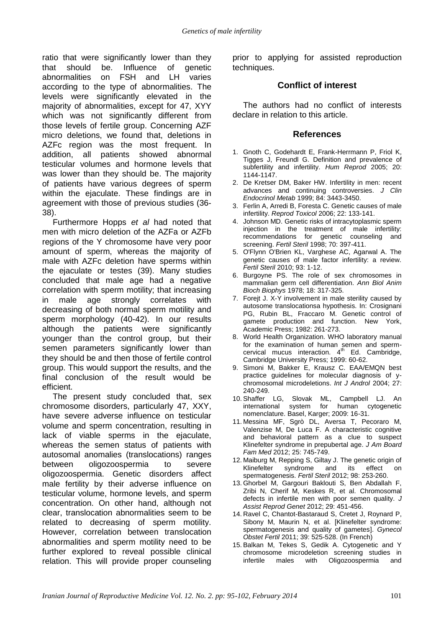ratio that were significantly lower than they that should be. Influence of genetic abnormalities on FSH and LH varies according to the type of abnormalities. The levels were significantly elevated in the majority of abnormalities, except for 47, XYY which was not significantly different from those levels of fertile group. Concerning AZF micro deletions, we found that, deletions in AZFc region was the most frequent. In addition, all patients showed abnormal testicular volumes and hormone levels that was lower than they should be. The majority of patients have various degrees of sperm within the ejaculate. These findings are in agreement with those of previous studies (36- 38).

Furthermore Hopps *et al* had noted that men with micro deletion of the AZFa or AZFb regions of the Y chromosome have very poor amount of sperm, whereas the majority of male with AZFc deletion have sperms within the ejaculate or testes (39). Many studies concluded that male age had a negative correlation with sperm motility; that increasing in male age strongly correlates with decreasing of both normal sperm motility and sperm morphology (40-42). In our results although the patients were significantly younger than the control group, but their semen parameters significantly lower than they should be and then those of fertile control group. This would support the results, and the final conclusion of the result would be efficient.

The present study concluded that, sex chromosome disorders, particularly 47, XXY, have severe adverse influence on testicular volume and sperm concentration, resulting in lack of viable sperms in the ejaculate, whereas the semen status of patients with autosomal anomalies (translocations) ranges between oligozoospermia to severe oligozoospermia. Genetic disorders affect male fertility by their adverse influence on testicular volume, hormone levels, and sperm concentration. On other hand, although not clear, translocation abnormalities seem to be related to decreasing of sperm motility. However, correlation between translocation abnormalities and sperm motility need to be further explored to reveal possible clinical relation. This will provide proper counseling prior to applying for assisted reproduction techniques.

### **Conflict of interest**

The authors had no conflict of interests declare in relation to this article.

#### **References**

- 1. Gnoth C, Godehardt E, Frank-Herrmann P, Friol K, Tigges J, Freundl G. Definition and prevalence of subfertility and infertility. *Hum Reprod* 2005; 20: 1144-1147.
- 2. De Kretser DM, Baker HW. Infertility in men: recent advances and continuing controversies. *J Clin Endocrinol Metab* 1999; 84: 3443-3450.
- 3. Ferlin A, Arredi B, Foresta C. Genetic causes of male infertility. *Reprod Toxicol* 2006; 22: 133-141.
- 4. Johnson MD. Genetic risks of intracytoplasmic sperm injection in the treatment of male infertility: recommendations for genetic counseling and screening. *Fertil Steril* 1998; 70: 397-411.
- 5. O'Flynn O'Brien KL, Varghese AC, Agarwal A. The genetic causes of male factor infertility: a review. *Fertil Steril* 2010; 93: 1-12.
- 6. Burgoyne PS. The role of sex chromosomes in mammalian germ cell differentiation. *Ann Biol Anim Bioch Biophys* 1978; 18: 317-325.
- 7. Forejt J. X-Y involvement in male sterility caused by autosome translocationsa hypothesis. In: Crosignani PG, Rubin BL, Fraccaro M. Genetic control of gamete production and function. New York, Academic Press; 1982: 261-273.
- 8. World Health Organization. WHO laboratory manual for the examination of human semen and spermcervical mucus interaction.  $4<sup>th</sup>$  Ed. Cambridge, Cambridge University Press; 1999: 60-62.
- 9. Simoni M, Bakker E, Krausz C. EAA/EMQN best practice guidelines for molecular diagnosis of ychromosomal microdeletions. *Int J Androl* 2004; 27: 240-249.
- 10. Shaffer LG, Slovak ML, Campbell LJ. An international system for human cytogenetic nomenclature. Basel, Karger; 2009: 16-31.
- 11. Messina MF, Sgrò DL, Aversa T, Pecoraro M, Valenzise M, De Luca F. A characteristic cognitive and behavioral pattern as a clue to suspect Klinefelter syndrome in prepubertal age. *J Am Board Fam Med* 2012; 25: 745-749.
- 12. Maiburg M, Repping S, Giltay J. The genetic origin of Klinefelter syndrome and its effect on spermatogenesis. *Fertil Steril* 2012; 98: 253-260.
- 13. Ghorbel M, Gargouri Baklouti S, Ben Abdallah F, Zribi N, Cherif M, Keskes R, et al. Chromosomal defects in infertile men with poor semen quality. *J Assist Reprod Genet* 2012; 29: 451-456.
- 14. [Ravel C,](http://www.ncbi.nlm.nih.gov/pubmed?term=Ravel%20C%5BAuthor%5D&cauthor=true&cauthor_uid=21835669) [Chantot-Bastaraud S,](http://www.ncbi.nlm.nih.gov/pubmed?term=Chantot-Bastaraud%20S%5BAuthor%5D&cauthor=true&cauthor_uid=21835669) [Cretet J,](http://www.ncbi.nlm.nih.gov/pubmed?term=Cretet%20J%5BAuthor%5D&cauthor=true&cauthor_uid=21835669) [Roynard P,](http://www.ncbi.nlm.nih.gov/pubmed?term=Roynard%20P%5BAuthor%5D&cauthor=true&cauthor_uid=21835669) [Sibony M,](http://www.ncbi.nlm.nih.gov/pubmed?term=Sibony%20M%5BAuthor%5D&cauthor=true&cauthor_uid=21835669) [Maurin N,](http://www.ncbi.nlm.nih.gov/pubmed?term=Maurin%20N%5BAuthor%5D&cauthor=true&cauthor_uid=21835669) et al. [Klinefelter syndrome: spermatogenesis and quality of gametes]. *Gynecol Obstet Fertil* 2011; 39: 525-528. (In French)
- 15. Balkan M, Tekes S, Gedik A. Cytogenetic and Y chromosome microdeletion screening studies in infertile males with Oligozoospermia and